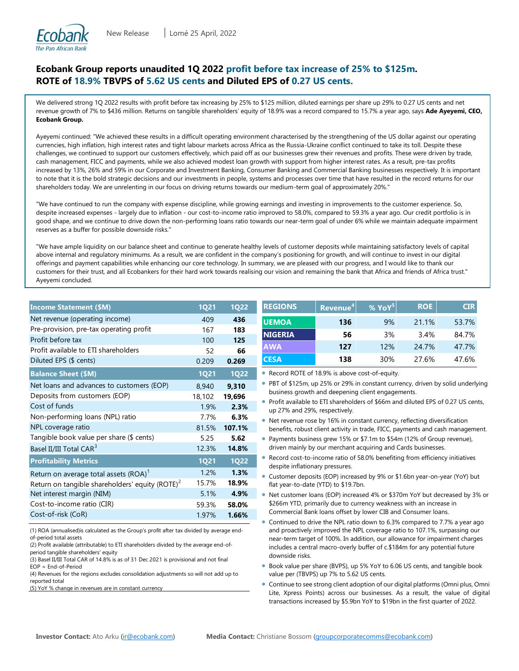

# **Ecobank Group reports unaudited 1Q 2022 profit before tax increase of 25% to \$125m. ROTE of 18.9% TBVPS of 5.62 US cents and Diluted EPS of 0.27 US cents.**

We delivered strong 1Q 2022 results with profit before tax increasing by 25% to \$125 million, diluted earnings per share up 29% to 0.27 US cents and net revenue growth of 7% to \$436 million. Returns on tangible shareholders' equity of 18.9% was a record compared to 15.7% a year ago, says **Ade Ayeyemi, CEO, Ecobank Group.**

Ayeyemi continued: "We achieved these results in a difficult operating environment characterised by the strengthening of the US dollar against our operating currencies, high inflation, high interest rates and tight labour markets across Africa as the Russia-Ukraine conflict continued to take its toll. Despite these challenges, we continued to support our customers effectively, which paid off as our businesses grew their revenues and profits. These were driven by trade, cash management, FICC and payments, while we also achieved modest loan growth with support from higher interest rates. As a result, pre-tax profits increased by 13%, 26% and 59% in our Corporate and Investment Banking, Consumer Banking and Commercial Banking businesses respectively. It is important to note that it is the bold strategic decisions and our investments in people, systems and processes over time that have resulted in the record returns for our shareholders today. We are unrelenting in our focus on driving returns towards our medium-term goal of approximately 20%."

"We have continued to run the company with expense discipline, while growing earnings and investing in improvements to the customer experience. So, despite increased expenses - largely due to inflation - our cost-to-income ratio improved to 58.0%, compared to 59.3% a year ago. Our credit portfolio is in good shape, and we continue to drive down the non-performing loans ratio towards our near-term goal of under 6% while we maintain adequate impairment reserves as a buffer for possible downside risks."

"We have ample liquidity on our balance sheet and continue to generate healthy levels of customer deposits while maintaining satisfactory levels of capital above internal and regulatory minimums. As a result, we are confident in the company's positioning for growth, and will continue to invest in our digital offerings and payment capabilities while enhancing our core technology. In summary, we are pleased with our progress, and I would like to thank our customers for their trust, and all Ecobankers for their hard work towards realising our vision and remaining the bank that Africa and friends of Africa trust." Ayeyemi concluded.

| <b>Income Statement (\$M)</b>                               | 1Q <sub>21</sub> | <b>1Q22</b> |
|-------------------------------------------------------------|------------------|-------------|
| Net revenue (operating income)                              | 409              | 436         |
| Pre-provision, pre-tax operating profit                     | 167              | 183         |
| Profit before tax                                           | 100              | 125         |
| Profit available to ETI shareholders                        | 52               | 66          |
| Diluted EPS (\$ cents)                                      | 0.209            | 0.269       |
| <b>Balance Sheet (\$M)</b>                                  | <b>1Q21</b>      | <b>1Q22</b> |
| Net loans and advances to customers (EOP)                   | 8,940            | 9,310       |
| Deposits from customers (EOP)                               | 18,102           | 19,696      |
| Cost of funds                                               | 1.9%             | 2.3%        |
| Non-performing loans (NPL) ratio                            | 7.7%             | 6.3%        |
| NPL coverage ratio                                          | 81.5%            | 107.1%      |
| Tangible book value per share (\$ cents)                    | 5.25             | 5.62        |
| Basel II/III Total CAR <sup>3</sup>                         | 12.3%            | 14.8%       |
| <b>Profitability Metrics</b>                                | <b>1Q21</b>      | <b>1Q22</b> |
| Return on average total assets (ROA) <sup>1</sup>           | 1.2%             | 1.3%        |
| Return on tangible shareholders' equity (ROTE) <sup>2</sup> | 15.7%            | 18.9%       |
| Net interest margin (NIM)                                   | 5.1%             | 4.9%        |
| Cost-to-income ratio (CIR)                                  | 59.3%            | 58.0%       |
| Cost-of-risk (CoR)                                          | 1.97%            | 1.66%       |

(1) ROA (annualised)is calculated as the Group's profit after tax divided by average endof-period total assets

(2) Profit available (attributable) to ETI shareholders divided by the average end-ofperiod tangible shareholders' equity

(3) Basel II/III Total CAR of 14.8% is as of 31 Dec 2021 is provisional and not final EOP = End-of-Period

(4) Revenues for the regions excludes consolidation adjustments so will not add up to reported total

(5) YoY % change in revenues are in constant currency

| <b>REGIONS</b> | Revenue <sup>4</sup> | % YoY <sup>5</sup> | <b>ROE</b> | <b>CIR</b> |
|----------------|----------------------|--------------------|------------|------------|
| <b>UEMOA</b>   | 136                  | 9%                 | 21.1%      | 53.7%      |
| <b>NIGERIA</b> | 56                   | 3%                 | 3.4%       | 84.7%      |
| <b>AWA</b>     | 127                  | 12%                | 24.7%      | 47.7%      |
| <b>CESA</b>    | 138                  | 30%                | 27.6%      | 47.6%      |

• Record ROTE of 18.9% is above cost-of-equity.

- PBT of \$125m, up 25% or 29% in constant currency, driven by solid underlying business growth and deepening client engagements.
- Profit available to ETI shareholders of \$66m and diluted EPS of 0.27 US cents, up 27% and 29%, respectively.

Net revenue rose by 16% in constant currency, reflecting diversification benefits, robust client activity in trade, FICC, payments and cash management.

- Payments business grew 15% or \$7.1m to \$54m (12% of Group revenue), driven mainly by our merchant acquiring and Cards businesses.
- Record cost-to-income ratio of 58.0% benefiting from efficiency initiatives despite inflationary pressures.
- Customer deposits (EOP) increased by 9% or \$1.6bn year-on-year (YoY) but flat year-to-date (YTD) to \$19.7bn.
- Net customer loans (EOP) increased 4% or \$370m YoY but decreased by 3% or \$266m YTD, primarily due to currency weakness with an increase in Commercial Bank loans offset by lower CIB and Consumer loans.
- Continued to drive the NPL ratio down to 6.3% compared to 7.7% a year ago and proactively improved the NPL coverage ratio to 107.1%, surpassing our near-term target of 100%. In addition, our allowance for impairment charges includes a central macro-overly buffer of c.\$184m for any potential future downside risks.
- Book value per share (BVPS), up 5% YoY to 6.06 US cents, and tangible book value per (TBVPS) up 7% to 5.62 US cents.
- Continue to see strong client adoption of our digital platforms (Omni plus, Omni Lite, Xpress Points) across our businesses. As a result, the value of digital transactions increased by \$5.9bn YoY to \$19bn in the first quarter of 2022.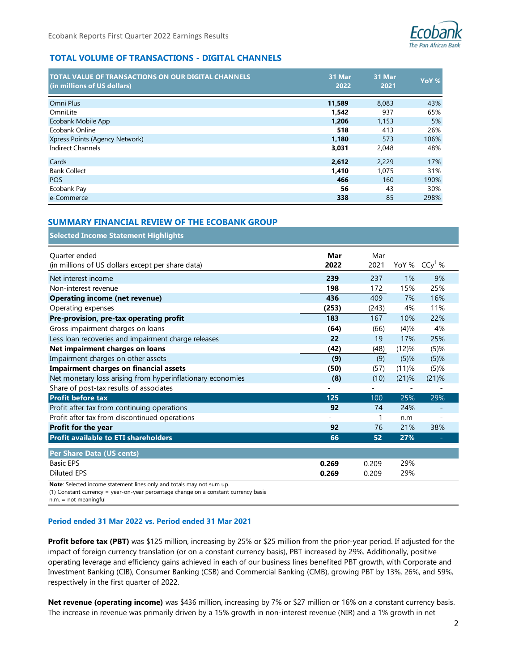

| <b>TOTAL VALUE OF TRANSACTIONS ON OUR DIGITAL CHANNELS</b><br>(in millions of US dollars) | 31 Mar<br>2022 | 31 Mar<br>2021 | YoY % |
|-------------------------------------------------------------------------------------------|----------------|----------------|-------|
| Omni Plus                                                                                 | 11,589         | 8,083          | 43%   |
| OmniLite                                                                                  | 1,542          | 937            | 65%   |
| Ecobank Mobile App                                                                        | 1.206          | 1,153          | 5%    |
| Ecobank Online                                                                            | 518            | 413            | 26%   |
| Xpress Points (Agency Network)                                                            | 1,180          | 573            | 106%  |
| <b>Indirect Channels</b>                                                                  | 3,031          | 2,048          | 48%   |
| Cards                                                                                     | 2.612          | 2,229          | 17%   |
| <b>Bank Collect</b>                                                                       | 1.410          | 1.075          | 31%   |
| <b>POS</b>                                                                                | 466            | 160            | 190%  |
| Ecobank Pay                                                                               | 56             | 43             | 30%   |
| e-Commerce                                                                                | 338            | 85             | 298%  |

## **SUMMARY FINANCIAL REVIEW OF THE ECOBANK GROUP**

| <b>TOTAL VOLUME OF TRANSACTIONS - DIGITAL CHANNELS</b>                                                                                                                                                                                                                                                                                                                                                                                                                                                                                                     |                |              |                          |                          |
|------------------------------------------------------------------------------------------------------------------------------------------------------------------------------------------------------------------------------------------------------------------------------------------------------------------------------------------------------------------------------------------------------------------------------------------------------------------------------------------------------------------------------------------------------------|----------------|--------------|--------------------------|--------------------------|
| <b>TOTAL VALUE OF TRANSACTIONS ON OUR DIGITAL CHANNELS</b>                                                                                                                                                                                                                                                                                                                                                                                                                                                                                                 | 31 Mar         | 31 Mar       |                          | YoY <sub>%</sub>         |
| (in millions of US dollars)                                                                                                                                                                                                                                                                                                                                                                                                                                                                                                                                | 2022           | 2021         |                          |                          |
| Omni Plus                                                                                                                                                                                                                                                                                                                                                                                                                                                                                                                                                  | 11,589         | 8,083        |                          | 43%                      |
| OmniLite                                                                                                                                                                                                                                                                                                                                                                                                                                                                                                                                                   | 1,542          | 937          |                          | 65%                      |
| Ecobank Mobile App                                                                                                                                                                                                                                                                                                                                                                                                                                                                                                                                         | 1,206          | 1,153        |                          | 5%                       |
| Ecobank Online                                                                                                                                                                                                                                                                                                                                                                                                                                                                                                                                             | 518            | 413          |                          | 26%                      |
| Xpress Points (Agency Network)<br><b>Indirect Channels</b>                                                                                                                                                                                                                                                                                                                                                                                                                                                                                                 | 1,180<br>3,031 | 573<br>2,048 |                          | 106%<br>48%              |
| Cards                                                                                                                                                                                                                                                                                                                                                                                                                                                                                                                                                      | 2,612          | 2,229        |                          | 17%                      |
| <b>Bank Collect</b>                                                                                                                                                                                                                                                                                                                                                                                                                                                                                                                                        | 1,410          | 1,075        |                          | 31%                      |
| POS                                                                                                                                                                                                                                                                                                                                                                                                                                                                                                                                                        | 466            | 160          |                          | 190%                     |
| Ecobank Pay                                                                                                                                                                                                                                                                                                                                                                                                                                                                                                                                                | 56             |              | 43                       | 30%                      |
| e-Commerce                                                                                                                                                                                                                                                                                                                                                                                                                                                                                                                                                 | 338            |              | 85                       | 298%                     |
| <b>SUMMARY FINANCIAL REVIEW OF THE ECOBANK GROUP</b><br><b>Selected Income Statement Highlights</b>                                                                                                                                                                                                                                                                                                                                                                                                                                                        |                |              |                          |                          |
| Quarter ended                                                                                                                                                                                                                                                                                                                                                                                                                                                                                                                                              | Mar            | Mar          |                          |                          |
| (in millions of US dollars except per share data)                                                                                                                                                                                                                                                                                                                                                                                                                                                                                                          | 2022           | 2021         | YoY %                    | $CCy1$ %                 |
| Net interest income                                                                                                                                                                                                                                                                                                                                                                                                                                                                                                                                        | 239            | 237          | 1%                       | 9%                       |
| Non-interest revenue                                                                                                                                                                                                                                                                                                                                                                                                                                                                                                                                       | 198            | 172          | 15%                      | 25%                      |
| <b>Operating income (net revenue)</b>                                                                                                                                                                                                                                                                                                                                                                                                                                                                                                                      | 436            | 409          | 7%                       | 16%                      |
| Operating expenses                                                                                                                                                                                                                                                                                                                                                                                                                                                                                                                                         | (253)          | (243)        | 4%                       | 11%                      |
| Pre-provision, pre-tax operating profit                                                                                                                                                                                                                                                                                                                                                                                                                                                                                                                    | 183            | 167          | 10%                      | 22%                      |
| Gross impairment charges on loans                                                                                                                                                                                                                                                                                                                                                                                                                                                                                                                          | (64)           | (66)         | (4)%                     | 4%                       |
| Less loan recoveries and impairment charge releases                                                                                                                                                                                                                                                                                                                                                                                                                                                                                                        | 22             | 19           | 17%                      | 25%                      |
| Net impairment charges on loans                                                                                                                                                                                                                                                                                                                                                                                                                                                                                                                            | (42)           | (48)         | (12)%                    | (5)%                     |
| Impairment charges on other assets                                                                                                                                                                                                                                                                                                                                                                                                                                                                                                                         | (9)            | (9)          | (5)%                     | $(5)$ %                  |
| <b>Impairment charges on financial assets</b>                                                                                                                                                                                                                                                                                                                                                                                                                                                                                                              | (50)           | (57)         | (11)%                    | (5)%                     |
| Net monetary loss arising from hyperinflationary economies                                                                                                                                                                                                                                                                                                                                                                                                                                                                                                 | (8)            | (10)         | $(21)$ %                 | $(21)$ %                 |
| Share of post-tax results of associates                                                                                                                                                                                                                                                                                                                                                                                                                                                                                                                    |                |              | $\overline{\phantom{0}}$ |                          |
| <b>Profit before tax</b>                                                                                                                                                                                                                                                                                                                                                                                                                                                                                                                                   | 125            | 100          | 25%                      | 29%                      |
| Profit after tax from continuing operations                                                                                                                                                                                                                                                                                                                                                                                                                                                                                                                | 92             | 74           | 24%                      | $\overline{\phantom{a}}$ |
| Profit after tax from discontinued operations                                                                                                                                                                                                                                                                                                                                                                                                                                                                                                              |                | 1            | n.m                      |                          |
| Profit for the year                                                                                                                                                                                                                                                                                                                                                                                                                                                                                                                                        | 92             | 76           | 21%                      | 38%                      |
| <b>Profit available to ETI shareholders</b>                                                                                                                                                                                                                                                                                                                                                                                                                                                                                                                | 66             | 52           | 27%                      |                          |
| Per Share Data (US cents)                                                                                                                                                                                                                                                                                                                                                                                                                                                                                                                                  |                |              |                          |                          |
| <b>Basic EPS</b>                                                                                                                                                                                                                                                                                                                                                                                                                                                                                                                                           | 0.269          | 0.209        | 29%                      |                          |
| <b>Diluted EPS</b>                                                                                                                                                                                                                                                                                                                                                                                                                                                                                                                                         | 0.269          | 0.209        | 29%                      |                          |
| Note: Selected income statement lines only and totals may not sum up.<br>(1) Constant currency = year-on-year percentage change on a constant currency basis<br>n.m. = not meaningful                                                                                                                                                                                                                                                                                                                                                                      |                |              |                          |                          |
| Period ended 31 Mar 2022 vs. Period ended 31 Mar 2021                                                                                                                                                                                                                                                                                                                                                                                                                                                                                                      |                |              |                          |                          |
| <b>Profit before tax (PBT)</b> was \$125 million, increasing by 25% or \$25 million from the prior-year period. If adjusted for the<br>impact of foreign currency translation (or on a constant currency basis), PBT increased by 29%. Additionally, positive<br>operating leverage and efficiency gains achieved in each of our business lines benefited PBT growth, with Corporate and<br>Investment Banking (CIB), Consumer Banking (CSB) and Commercial Banking (CMB), growing PBT by 13%, 26%, and 59%,<br>respectively in the first quarter of 2022. |                |              |                          |                          |
| Net revenue (operating income) was \$436 million, increasing by 7% or \$27 million or 16% on a constant currency basis.<br>The increase in revenue was primarily driven by a 15% growth in non-interest revenue (NIR) and a 1% growth in net                                                                                                                                                                                                                                                                                                               |                |              |                          |                          |

### **Period ended 31 Mar 2022 vs. Period ended 31 Mar 2021**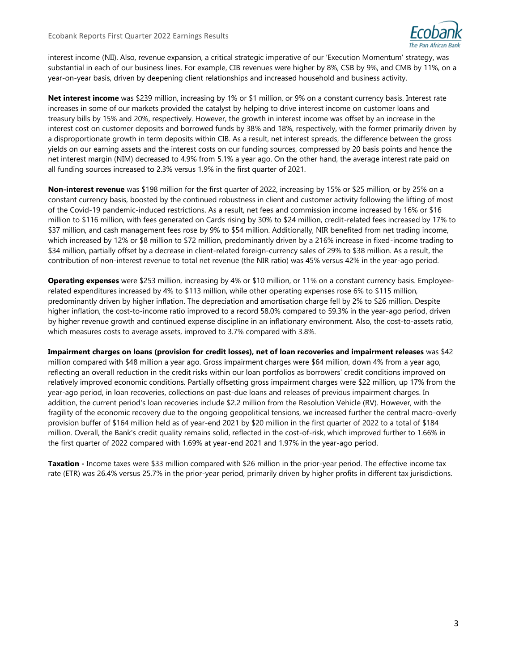

interest income (NII). Also, revenue expansion, a critical strategic imperative of our 'Execution Momentum' strategy, was substantial in each of our business lines. For example, CIB revenues were higher by 8%, CSB by 9%, and CMB by 11%, on a year-on-year basis, driven by deepening client relationships and increased household and business activity.

**Net interest income** was \$239 million, increasing by 1% or \$1 million, or 9% on a constant currency basis. Interest rate increases in some of our markets provided the catalyst by helping to drive interest income on customer loans and treasury bills by 15% and 20%, respectively. However, the growth in interest income was offset by an increase in the interest cost on customer deposits and borrowed funds by 38% and 18%, respectively, with the former primarily driven by a disproportionate growth in term deposits within CIB. As a result, net interest spreads, the difference between the gross yields on our earning assets and the interest costs on our funding sources, compressed by 20 basis points and hence the net interest margin (NIM) decreased to 4.9% from 5.1% a year ago. On the other hand, the average interest rate paid on all funding sources increased to 2.3% versus 1.9% in the first quarter of 2021.

**Non-interest revenue** was \$198 million for the first quarter of 2022, increasing by 15% or \$25 million, or by 25% on a constant currency basis, boosted by the continued robustness in client and customer activity following the lifting of most of the Covid-19 pandemic-induced restrictions. As a result, net fees and commission income increased by 16% or \$16 million to \$116 million, with fees generated on Cards rising by 30% to \$24 million, credit-related fees increased by 17% to \$37 million, and cash management fees rose by 9% to \$54 million. Additionally, NIR benefited from net trading income, which increased by 12% or \$8 million to \$72 million, predominantly driven by a 216% increase in fixed-income trading to \$34 million, partially offset by a decrease in client-related foreign-currency sales of 29% to \$38 million. As a result, the contribution of non-interest revenue to total net revenue (the NIR ratio) was 45% versus 42% in the year-ago period.

**Operating expenses** were \$253 million, increasing by 4% or \$10 million, or 11% on a constant currency basis. Employeerelated expenditures increased by 4% to \$113 million, while other operating expenses rose 6% to \$115 million, predominantly driven by higher inflation. The depreciation and amortisation charge fell by 2% to \$26 million. Despite higher inflation, the cost-to-income ratio improved to a record 58.0% compared to 59.3% in the year-ago period, driven by higher revenue growth and continued expense discipline in an inflationary environment. Also, the cost-to-assets ratio, which measures costs to average assets, improved to 3.7% compared with 3.8%.

**Impairment charges on loans (provision for credit losses), net of loan recoveries and impairment releases** was \$42 million compared with \$48 million a year ago. Gross impairment charges were \$64 million, down 4% from a year ago, reflecting an overall reduction in the credit risks within our loan portfolios as borrowers' credit conditions improved on relatively improved economic conditions. Partially offsetting gross impairment charges were \$22 million, up 17% from the year-ago period, in loan recoveries, collections on past-due loans and releases of previous impairment charges. In addition, the current period's loan recoveries include \$2.2 million from the Resolution Vehicle (RV). However, with the fragility of the economic recovery due to the ongoing geopolitical tensions, we increased further the central macro-overly provision buffer of \$164 million held as of year-end 2021 by \$20 million in the first quarter of 2022 to a total of \$184 million. Overall, the Bank's credit quality remains solid, reflected in the cost-of-risk, which improved further to 1.66% in the first quarter of 2022 compared with 1.69% at year-end 2021 and 1.97% in the year-ago period.

**Taxation -** Income taxes were \$33 million compared with \$26 million in the prior-year period. The effective income tax rate (ETR) was 26.4% versus 25.7% in the prior-year period, primarily driven by higher profits in different tax jurisdictions.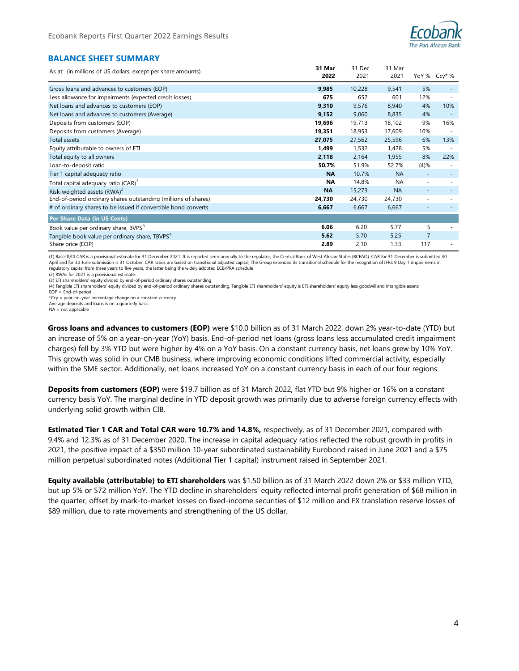

# **BALANCE SHEET SUMMARY**

| As at: (in millions of US dollars, except per share amounts)   | 31 Mar<br>2022 | 31 Dec<br>2021 | 31 Mar<br>2021 |                          | YoY % Ccy* %             |
|----------------------------------------------------------------|----------------|----------------|----------------|--------------------------|--------------------------|
| Gross loans and advances to customers (EOP)                    | 9,985          | 10,228         | 9,541          | 5%                       |                          |
| Less allowance for impairments (expected credit losses)        | 675            | 652            | 601            | 12%                      |                          |
| Net loans and advances to customers (EOP)                      | 9,310          | 9,576          | 8,940          | 4%                       | 10%                      |
| Net loans and advances to customers (Average)                  | 9,152          | 9,060          | 8,835          | 4%                       |                          |
| Deposits from customers (EOP)                                  | 19,696         | 19,713         | 18,102         | 9%                       | 16%                      |
| Deposits from customers (Average)                              | 19,351         | 18,953         | 17,609         | 10%                      |                          |
| Total assets                                                   | 27,075         | 27,562         | 25,596         | 6%                       | 13%                      |
| Equity attributable to owners of ETI                           | 1,499          | 1,532          | 1,428          | 5%                       |                          |
| Total equity to all owners                                     | 2,118          | 2,164          | 1,955          | 8%                       | 22%                      |
| Loan-to-deposit ratio                                          | 50.7%          | 51.9%          | 52.7%          | (4)%                     |                          |
| Tier 1 capital adequacy ratio                                  | <b>NA</b>      | 10.7%          | <b>NA</b>      |                          |                          |
| Total capital adequacy ratio (CAR) <sup>1</sup>                | ΝA             | 14.8%          | <b>NA</b>      | $\overline{\phantom{a}}$ | $\overline{\phantom{a}}$ |
| Risk-weighted assets $(RWA)^2$                                 | <b>NA</b>      | 15,273         | <b>NA</b>      | ٠                        |                          |
| End-of-period ordinary shares outstanding (millions of shares) | 24,730         | 24,730         | 24,730         |                          |                          |
| # of ordinary shares to be issued if convertible bond converts | 6,667          | 6,667          | 6,667          |                          |                          |
| Per Share Data (in US Cents)                                   |                |                |                |                          |                          |
| Book value per ordinary share, BVPS <sup>3</sup>               | 6.06           | 6.20           | 5.77           | 5                        |                          |
| Tangible book value per ordinary share, TBVPS <sup>4</sup>     | 5.62           | 5.70           | 5.25           | 7                        |                          |
| Share price (EOP)                                              | 2.89           | 2.10           | 1.33           | 117                      | ٠                        |

(1) Basel II/III CAR is a provisional estimate for 31 December 2021. It is reported semi-annually to the regulator, the Central Bank of West African States (BCEAO). CAR for 31 December is submitted 30 April and for 30 June submission is 31 October. CAR ratios are based on transitional adjusted capital; The Group extended its transitional schedule for the recognition of IFRS 9 Day 1 impairments in regulatory capital from three years to five years, the latter being the widely adopted ECB/PRA schedule

(2) RWAs for 2021 is a provisional estimate.

(3) ETI shareholders' equity divided by end-of-period ordinary shares outstanding

(4) Tangible ETI shareholders' equity divided by end-of-period ordinary shares outstanding. Tangible ETI shareholders' equity is ETI shareholders' equity less goodwill and intangible assets

 $EOP = End-of-period$ 

\*Ccy = year-on-year percentage change on a constant currency Average deposits and loans is on a quarterly basis

NA = not applicable

**Gross loans and advances to customers (EOP)** were \$10.0 billion as of 31 March 2022, down 2% year-to-date (YTD) but an increase of 5% on a year-on-year (YoY) basis. End-of-period net loans (gross loans less accumulated credit impairment charges) fell by 3% YTD but were higher by 4% on a YoY basis. On a constant currency basis, net loans grew by 10% YoY. This growth was solid in our CMB business, where improving economic conditions lifted commercial activity, especially within the SME sector. Additionally, net loans increased YoY on a constant currency basis in each of our four regions.

**Deposits from customers (EOP)** were \$19.7 billion as of 31 March 2022, flat YTD but 9% higher or 16% on a constant currency basis YoY. The marginal decline in YTD deposit growth was primarily due to adverse foreign currency effects with underlying solid growth within CIB.

**Estimated Tier 1 CAR and Total CAR were 10.7% and 14.8%,** respectively, as of 31 December 2021, compared with 9.4% and 12.3% as of 31 December 2020. The increase in capital adequacy ratios reflected the robust growth in profits in 2021, the positive impact of a \$350 million 10-year subordinated sustainability Eurobond raised in June 2021 and a \$75 million perpetual subordinated notes (Additional Tier 1 capital) instrument raised in September 2021.

**Equity available (attributable) to ETI shareholders** was \$1.50 billion as of 31 March 2022 down 2% or \$33 million YTD, but up 5% or \$72 million YoY. The YTD decline in shareholders' equity reflected internal profit generation of \$68 million in the quarter, offset by mark-to-market losses on fixed-income securities of \$12 million and FX translation reserve losses of \$89 million, due to rate movements and strengthening of the US dollar.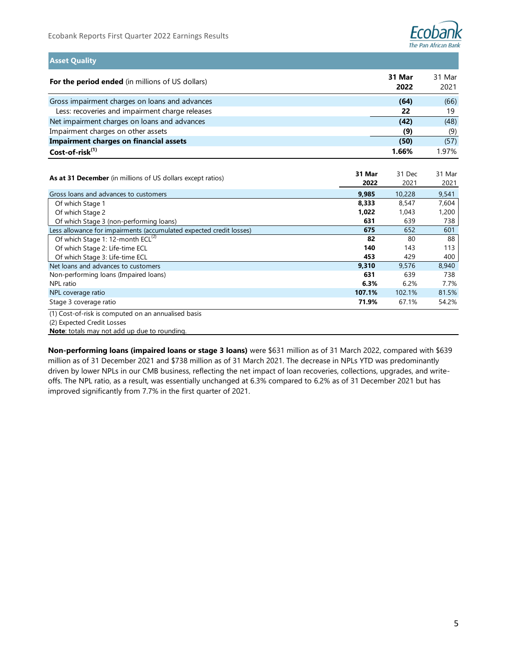

**Asset Quality**

| For the period ended (in millions of US dollars) | 31 Mar<br>2022 | 31 Mar<br>2021 |
|--------------------------------------------------|----------------|----------------|
| Gross impairment charges on loans and advances   | (64)           | (66)           |
| Less: recoveries and impairment charge releases  | 22             | 19             |
| Net impairment charges on loans and advances     | (42)           | (48)           |
| Impairment charges on other assets               | (9)            | (9)            |
| <b>Impairment charges on financial assets</b>    | (50)           | (57)           |
| Cost-of-risk <sup>(1)</sup>                      | 1.66%          | 1.97%          |

| As at 31 December (in millions of US dollars except ratios)                       | 31 Mar<br>2022 | 31 Dec<br>2021 | 31 Mar<br>2021 |
|-----------------------------------------------------------------------------------|----------------|----------------|----------------|
| Gross loans and advances to customers                                             | 9,985          | 10,228         | 9,541          |
| Of which Stage 1                                                                  | 8,333          | 8,547          | 7,604          |
| Of which Stage 2                                                                  | 1,022          | 1,043          | 1,200          |
| Of which Stage 3 (non-performing loans)                                           | 631            | 639            | 738            |
| Less allowance for impairments (accumulated expected credit losses)               | 675            | 652            | 601            |
| Of which Stage 1: 12-month ECL <sup>(2)</sup>                                     | 82             | 80             | 88             |
| Of which Stage 2: Life-time ECL                                                   | 140            | 143            | 113            |
| Of which Stage 3: Life-time ECL                                                   | 453            | 429            | 400            |
| Net loans and advances to customers                                               | 9,310          | 9,576          | 8,940          |
| Non-performing loans (Impaired loans)                                             | 631            | 639            | 738            |
| NPL ratio                                                                         | 6.3%           | 6.2%           | 7.7%           |
| NPL coverage ratio                                                                | 107.1%         | 102.1%         | 81.5%          |
| Stage 3 coverage ratio                                                            | 71.9%          | 67.1%          | 54.2%          |
| (1) Cost-of-risk is computed on an annualised basis<br>(2) Expected Credit Losses |                |                |                |

**Note**: totals may not add up due to rounding.

**Non-performing loans (impaired loans or stage 3 loans)** were \$631 million as of 31 March 2022, compared with \$639 million as of 31 December 2021 and \$738 million as of 31 March 2021. The decrease in NPLs YTD was predominantly driven by lower NPLs in our CMB business, reflecting the net impact of loan recoveries, collections, upgrades, and writeoffs. The NPL ratio, as a result, was essentially unchanged at 6.3% compared to 6.2% as of 31 December 2021 but has improved significantly from 7.7% in the first quarter of 2021.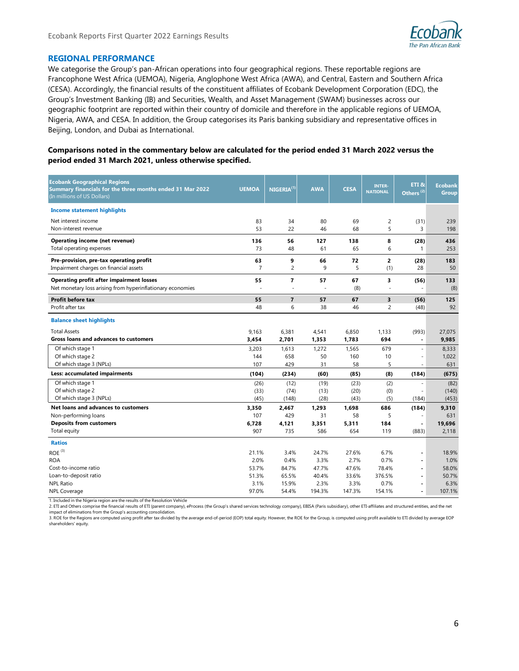

## **REGIONAL PERFORMANCE**

We categorise the Group's pan-African operations into four geographical regions. These reportable regions are Francophone West Africa (UEMOA), Nigeria, Anglophone West Africa (AWA), and Central, Eastern and Southern Africa (CESA). Accordingly, the financial results of the constituent affiliates of Ecobank Development Corporation (EDC), the Group's Investment Banking (IB) and Securities, Wealth, and Asset Management (SWAM) businesses across our geographic footprint are reported within their country of domicile and therefore in the applicable regions of UEMOA, Nigeria, AWA, and CESA. In addition, the Group categorises its Paris banking subsidiary and representative offices in Beijing, London, and Dubai as International.

**Comparisons noted in the commentary below are calculated for the period ended 31 March 2022 versus the period ended 31 March 2021, unless otherwise specified.**

| <b>Ecobank Geographical Regions</b><br>Summary financials for the three months ended 31 Mar 2022<br>(In millions of US Dollars) | <b>UEMOA</b>                 | NIGERIA <sup>(1)</sup>       | <b>AWA</b>                  | <b>CESA</b>                 | <b>INTER-</b><br><b>NATIONAL</b> | ETI <sub>8</sub><br>Others <sup>(2)</sup> | <b>Ecobank</b><br><b>Group</b>  |
|---------------------------------------------------------------------------------------------------------------------------------|------------------------------|------------------------------|-----------------------------|-----------------------------|----------------------------------|-------------------------------------------|---------------------------------|
| <b>Income statement highlights</b>                                                                                              |                              |                              |                             |                             |                                  |                                           |                                 |
| Net interest income                                                                                                             | 83                           | 34                           | 80                          | 69                          | $\overline{c}$                   | (31)                                      | 239                             |
| Non-interest revenue                                                                                                            | 53                           | 22                           | 46                          | 68                          | 5                                | 3                                         | 198                             |
| Operating income (net revenue)                                                                                                  | 136                          | 56                           | 127                         | 138                         | 8                                | (28)                                      | 436                             |
| Total operating expenses                                                                                                        | 73                           | 48                           | 61                          | 65                          | 6                                | 1                                         | 253                             |
| Pre-provision, pre-tax operating profit                                                                                         | 63                           | 9                            | 66                          | 72                          | $\overline{2}$                   | (28)                                      | 183                             |
| Impairment charges on financial assets                                                                                          | $\overline{7}$               | 2                            | 9                           | 5                           | (1)                              | 28                                        | 50                              |
| <b>Operating profit after impairment losses</b>                                                                                 | 55                           | 7                            | 57                          | 67                          | 3                                | (56)                                      | 133                             |
| Net monetary loss arising from hyperinflationary economies                                                                      | ÷.                           | ÷.                           | ÷                           | (8)                         | ÷.                               | ٠                                         | (8)                             |
| Profit before tax                                                                                                               | 55                           | $\overline{7}$               | 57                          | 67                          | $\overline{\mathbf{3}}$          | (56)                                      | 125                             |
| Profit after tax                                                                                                                | 48                           | 6                            | 38                          | 46                          | $\overline{2}$                   | (48)                                      | 92                              |
| <b>Balance sheet highlights</b>                                                                                                 |                              |                              |                             |                             |                                  |                                           |                                 |
| <b>Total Assets</b>                                                                                                             | 9.163                        | 6,381                        | 4,541                       | 6.850                       | 1.133                            | (993)                                     | 27,075                          |
| <b>Gross loans and advances to customers</b>                                                                                    | 3,454                        | 2,701                        | 1,353                       | 1,783                       | 694                              | $\blacksquare$                            | 9,985                           |
| Of which stage 1                                                                                                                | 3,203                        | 1,613                        | 1,272                       | 1,565                       | 679                              | ä,                                        | 8,333                           |
| Of which stage 2                                                                                                                | 144                          | 658                          | 50                          | 160                         | 10                               | L,                                        | 1,022                           |
| Of which stage 3 (NPLs)                                                                                                         | 107                          | 429                          | 31                          | 58                          | 5                                | ÷,                                        | 631                             |
| Less: accumulated impairments                                                                                                   | (104)                        | (234)                        | (60)                        | (85)                        | (8)                              | (184)                                     | (675)                           |
| Of which stage 1<br>Of which stage 2<br>Of which stage 3 (NPLs)                                                                 | (26)<br>(33)<br>(45)         | (12)<br>(74)<br>(148)        | (19)<br>(13)<br>(28)        | (23)<br>(20)<br>(43)        | (2)<br>(0)<br>(5)                | ä,<br>(184)                               | (82)<br>(140)<br>(453)          |
| Net loans and advances to customers<br>Non-performing loans<br><b>Deposits from customers</b><br>Total equity                   | 3.350<br>107<br>6,728<br>907 | 2.467<br>429<br>4,121<br>735 | 1,293<br>31<br>3,351<br>586 | 1.698<br>58<br>5,311<br>654 | 686<br>5<br>184<br>119           | (184)<br>$\blacksquare$<br>(883)          | 9,310<br>631<br>19.696<br>2.118 |
| <b>Ratios</b>                                                                                                                   |                              |                              |                             |                             |                                  |                                           |                                 |
| ROE <sup>(3)</sup>                                                                                                              | 21.1%                        | 3.4%                         | 24.7%                       | 27.6%                       | 6.7%                             | ä,                                        | 18.9%                           |
| <b>ROA</b>                                                                                                                      | 2.0%                         | 0.4%                         | 3.3%                        | 2.7%                        | 0.7%                             | $\blacksquare$                            | 1.0%                            |
| Cost-to-income ratio                                                                                                            | 53.7%                        | 84.7%                        | 47.7%                       | 47.6%                       | 78.4%                            | ÷.                                        | 58.0%                           |
| Loan-to-deposit ratio                                                                                                           | 51.3%                        | 65.5%                        | 40.4%                       | 33.6%                       | 376.5%                           | $\overline{a}$                            | 50.7%                           |
| <b>NPL Ratio</b>                                                                                                                | 3.1%                         | 15.9%                        | 2.3%                        | 3.3%                        | 0.7%                             | $\blacksquare$                            | 6.3%                            |
| <b>NPL Coverage</b><br>1. Included in the Nigeria region are the results of the Resolution Vehicle                              | 97.0%                        | 54.4%                        | 194.3%                      | 147.3%                      | 154.1%                           | $\blacksquare$                            | 107.1%                          |

2. ETI and Others comprise the financial results of ETI (parent company), eProcess (the Group's shared services technology company), EBISA (Paris subsidiary), other ETI-affiliates and structured entities, and the net impact of eliminations from the Group's accounting consolidation.

3. ROE for the Regions are computed using profit after tax divided by the average end-of-period (EOP) total equity. However, the ROE for the Group, is computed using profit available to ETI divided by average EOP shareholders' equity.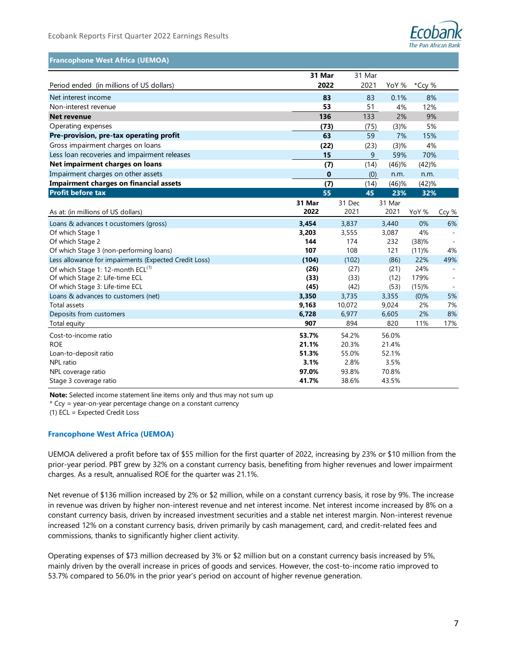

## **Francophone West Africa (UEMOA)**

|                                                       | 31 Mar |        | 31 Mar |          |          |       |
|-------------------------------------------------------|--------|--------|--------|----------|----------|-------|
| Period ended (in millions of US dollars)              | 2022   |        | 2021   | YoY %    | *Ccy %   |       |
| Net interest income                                   | 83     |        | 83     | 0.1%     | 8%       |       |
| Non-interest revenue                                  | 53     |        | 51     | 4%       | 12%      |       |
| <b>Net revenue</b>                                    | 136    |        | 133    | 2%       | 9%       |       |
| Operating expenses                                    | (73)   |        | (75)   | (3)%     | 5%       |       |
| Pre-provision, pre-tax operating profit               | 63     |        | 59     | 7%       | 15%      |       |
| Gross impairment charges on loans                     | (22)   |        | (23)   | (3)%     | 4%       |       |
| Less loan recoveries and impairment releases          | 15     |        | 9      | 59%      | 70%      |       |
| Net impairment charges on loans                       | (7)    |        | (14)   | (46)%    | (42)%    |       |
| Impairment charges on other assets                    | 0      |        | (0)    | n.m.     | n.m.     |       |
| <b>Impairment charges on financial assets</b>         | (7)    |        | (14)   | $(46)$ % | (42)%    |       |
| <b>Profit before tax</b>                              | 55     |        | 45     | 23%      | 32%      |       |
|                                                       | 31 Mar | 31 Dec |        | 31 Mar   |          |       |
| As at: (in millions of US dollars)                    | 2022   | 2021   |        | 2021     | YoY %    | Ccy % |
| Loans & advances t ocustomers (gross)                 | 3,454  | 3,837  |        | 3,440    | 0%       | 6%    |
| Of which Stage 1                                      | 3,203  | 3,555  |        | 3,087    | 4%       |       |
| Of which Stage 2                                      | 144    | 174    |        | 232      | (38)%    |       |
| Of which Stage 3 (non-performing loans)               | 107    | 108    |        | 121      | $(11)$ % | 4%    |
| Less allowance for impairments (Expected Credit Loss) | (104)  | (102)  |        | (86)     | 22%      | 49%   |
| Of which Stage 1: 12-month ECL <sup>(1)</sup>         | (26)   | (27)   |        | (21)     | 24%      |       |
| Of which Stage 2: Life-time ECL                       | (33)   | (33)   |        | (12)     | 179%     |       |
| Of which Stage 3: Life-time ECL                       | (45)   | (42)   |        | (53)     | $(15)$ % |       |
| Loans & advances to customers (net)                   | 3,350  | 3,735  |        | 3,355    | $(0)$ %  | 5%    |
| Total assets                                          | 9,163  | 10,072 |        | 9,024    | 2%       | 7%    |
| Deposits from customers                               | 6,728  | 6,977  |        | 6,605    | 2%       | 8%    |
| Total equity                                          | 907    | 894    |        | 820      | 11%      | 17%   |
| Cost-to-income ratio                                  | 53.7%  | 54.2%  |        | 56.0%    |          |       |
| <b>ROE</b>                                            | 21.1%  | 20.3%  |        | 21.4%    |          |       |
| Loan-to-deposit ratio                                 | 51.3%  | 55.0%  |        | 52.1%    |          |       |
| NPL ratio                                             | 3.1%   | 2.8%   |        | 3.5%     |          |       |
| NPL coverage ratio                                    | 97.0%  | 93.8%  |        | 70.8%    |          |       |
| Stage 3 coverage ratio                                | 41.7%  | 38.6%  |        | 43.5%    |          |       |

**Note:** Selected income statement line items only and thus may not sum up

\* Ccy = year-on-year percentage change on a constant currency

(1) ECL = Expected Credit Loss

### **Francophone West Africa (UEMOA)**

UEMOA delivered a profit before tax of \$55 million for the first quarter of 2022, increasing by 23% or \$10 million from the prior-year period. PBT grew by 32% on a constant currency basis, benefiting from higher revenues and lower impairment charges. As a result, annualised ROE for the quarter was 21.1%.

Net revenue of \$136 million increased by 2% or \$2 million, while on a constant currency basis, it rose by 9%. The increase in revenue was driven by higher non-interest revenue and net interest income. Net interest income increased by 8% on a constant currency basis, driven by increased investment securities and a stable net interest margin. Non-interest revenue increased 12% on a constant currency basis, driven primarily by cash management, card, and credit-related fees and commissions, thanks to significantly higher client activity.

Operating expenses of \$73 million decreased by 3% or \$2 million but on a constant currency basis increased by 5%, mainly driven by the overall increase in prices of goods and services. However, the cost-to-income ratio improved to 53.7% compared to 56.0% in the prior year's period on account of higher revenue generation.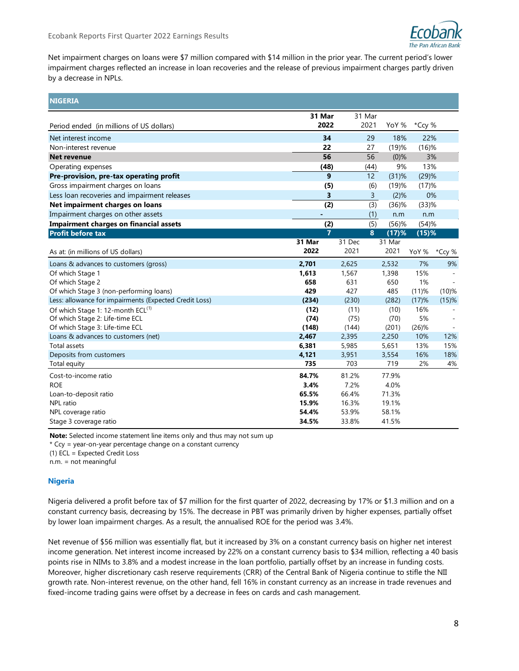

Net impairment charges on loans were \$7 million compared with \$14 million in the prior year. The current period's lower impairment charges reflected an increase in loan recoveries and the release of previous impairment charges partly driven by a decrease in NPLs.

| <b>NIGERIA</b>                                         |                |        |                |          |          |          |
|--------------------------------------------------------|----------------|--------|----------------|----------|----------|----------|
|                                                        | 31 Mar         |        | 31 Mar         |          |          |          |
| Period ended (in millions of US dollars)               | 2022           |        | 2021           | YoY %    | *Ccy %   |          |
| Net interest income                                    | 34             |        | 29             | 18%      | 22%      |          |
| Non-interest revenue                                   | 22             |        | 27             | (19)%    | $(16)$ % |          |
| <b>Net revenue</b>                                     | 56             |        | 56             | (0)%     | 3%       |          |
| Operating expenses                                     | (48)           |        | (44)           | 9%       | 13%      |          |
| Pre-provision, pre-tax operating profit                | 9              |        | 12             | $(31)$ % | (29)%    |          |
| Gross impairment charges on loans                      | (5)            |        | (6)            | (19)%    | (17)%    |          |
| Less loan recoveries and impairment releases           | 3              |        | $\overline{3}$ | (2)%     | 0%       |          |
| Net impairment charges on loans                        | (2)            |        | (3)            | $(36)$ % | $(33)$ % |          |
| Impairment charges on other assets                     |                |        | (1)            | n.m      | n.m      |          |
| <b>Impairment charges on financial assets</b>          | (2)            |        | (5)            | $(56)$ % | (54)%    |          |
| Profit before tax                                      | $\overline{7}$ |        | 8              | $(17)$ % | $(15)$ % |          |
|                                                        | 31 Mar         | 31 Dec |                | 31 Mar   |          |          |
| As at: (in millions of US dollars)                     | 2022           | 2021   |                | 2021     | YoY %    | *Ccy %   |
| Loans & advances to customers (gross)                  | 2,701          | 2,625  |                | 2,532    | 7%       | 9%       |
| Of which Stage 1                                       | 1,613          | 1,567  |                | 1,398    | 15%      |          |
| Of which Stage 2                                       | 658            | 631    |                | 650      | 1%       |          |
| Of which Stage 3 (non-performing loans)                | 429            | 427    |                | 485      | (11)%    | $(10)$ % |
| Less: allowance for impairments (Expected Credit Loss) | (234)          | (230)  |                | (282)    | (17)%    | $(15)$ % |
| Of which Stage 1: 12-month ECL <sup>(1)</sup>          | (12)           | (11)   |                | (10)     | 16%      |          |
| Of which Stage 2: Life-time ECL                        | (74)           | (75)   |                | (70)     | 5%       |          |
| Of which Stage 3: Life-time ECL                        | (148)          | (144)  |                | (201)    | $(26)$ % |          |
| Loans & advances to customers (net)                    | 2,467          | 2,395  |                | 2,250    | 10%      | 12%      |
| Total assets                                           | 6,381          | 5,985  |                | 5,651    | 13%      | 15%      |
| Deposits from customers                                | 4,121          | 3,951  |                | 3,554    | 16%      | 18%      |
| Total equity                                           | 735            | 703    |                | 719      | 2%       | 4%       |
| Cost-to-income ratio                                   | 84.7%          | 81.2%  |                | 77.9%    |          |          |
| <b>ROE</b>                                             | 3.4%           | 7.2%   |                | 4.0%     |          |          |
| Loan-to-deposit ratio                                  | 65.5%          | 66.4%  |                | 71.3%    |          |          |
| NPL ratio                                              | 15.9%          | 16.3%  |                | 19.1%    |          |          |
| NPL coverage ratio                                     | 54.4%          | 53.9%  |                | 58.1%    |          |          |
| Stage 3 coverage ratio                                 | 34.5%          | 33.8%  |                | 41.5%    |          |          |

**Note:** Selected income statement line items only and thus may not sum up

\* Ccy = year-on-year percentage change on a constant currency

(1) ECL = Expected Credit Loss

n.m. = not meaningful

## **Nigeria**

Nigeria delivered a profit before tax of \$7 million for the first quarter of 2022, decreasing by 17% or \$1.3 million and on a constant currency basis, decreasing by 15%. The decrease in PBT was primarily driven by higher expenses, partially offset by lower loan impairment charges. As a result, the annualised ROE for the period was 3.4%.

Net revenue of \$56 million was essentially flat, but it increased by 3% on a constant currency basis on higher net interest income generation. Net interest income increased by 22% on a constant currency basis to \$34 million, reflecting a 40 basis points rise in NIMs to 3.8% and a modest increase in the loan portfolio, partially offset by an increase in funding costs. Moreover, higher discretionary cash reserve requirements (CRR) of the Central Bank of Nigeria continue to stifle the NII growth rate. Non-interest revenue, on the other hand, fell 16% in constant currency as an increase in trade revenues and fixed-income trading gains were offset by a decrease in fees on cards and cash management.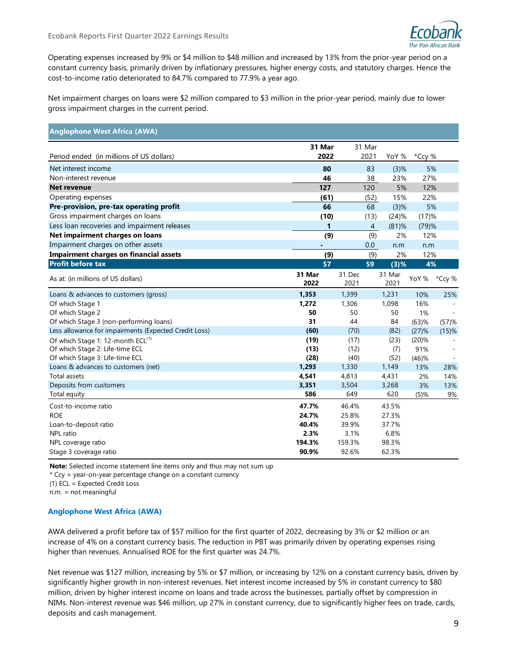

Operating expenses increased by 9% or \$4 million to \$48 million and increased by 13% from the prior-year period on a constant currency basis, primarily driven by inflationary pressures, higher energy costs, and statutory charges. Hence the cost-to-income ratio deteriorated to 84.7% compared to 77.9% a year ago.

Net impairment charges on loans were \$2 million compared to \$3 million in the prior-year period, mainly due to lower gross impairment charges in the current period.

| <b>Anglophone West Africa (AWA)</b>                                                                                                                                                                                                                                                                                                                                                                                                                                                                                                              |                 |                |      |                |          |          |
|--------------------------------------------------------------------------------------------------------------------------------------------------------------------------------------------------------------------------------------------------------------------------------------------------------------------------------------------------------------------------------------------------------------------------------------------------------------------------------------------------------------------------------------------------|-----------------|----------------|------|----------------|----------|----------|
|                                                                                                                                                                                                                                                                                                                                                                                                                                                                                                                                                  | 31 Mar          | 31 Mar         |      |                |          |          |
| Period ended (in millions of US dollars)                                                                                                                                                                                                                                                                                                                                                                                                                                                                                                         | 2022            |                | 2021 | YoY %          | *Ccy %   |          |
| Net interest income                                                                                                                                                                                                                                                                                                                                                                                                                                                                                                                              | 80              |                | 83   | (3)%           | 5%       |          |
| Non-interest revenue                                                                                                                                                                                                                                                                                                                                                                                                                                                                                                                             | 46              |                | 38   | 23%            | 27%      |          |
| <b>Net revenue</b>                                                                                                                                                                                                                                                                                                                                                                                                                                                                                                                               | 127             |                | 120  | 5%             | 12%      |          |
| Operating expenses                                                                                                                                                                                                                                                                                                                                                                                                                                                                                                                               | (61)            |                | (52) | 15%            | 22%      |          |
| Pre-provision, pre-tax operating profit                                                                                                                                                                                                                                                                                                                                                                                                                                                                                                          | 66              |                | 68   | (3)%           | 5%       |          |
| Gross impairment charges on loans                                                                                                                                                                                                                                                                                                                                                                                                                                                                                                                | (10)            |                | (13) | (24)%          | (17)%    |          |
| Less loan recoveries and impairment releases                                                                                                                                                                                                                                                                                                                                                                                                                                                                                                     | 1               |                | 4    | $(81)$ %       | (79)%    |          |
| Net impairment charges on loans                                                                                                                                                                                                                                                                                                                                                                                                                                                                                                                  | (9)             |                | (9)  | 2%             | 12%      |          |
| Impairment charges on other assets                                                                                                                                                                                                                                                                                                                                                                                                                                                                                                               |                 |                | 0.0  | n.m            | n.m      |          |
| <b>Impairment charges on financial assets</b>                                                                                                                                                                                                                                                                                                                                                                                                                                                                                                    | (9)             |                | (9)  | 2%             | 12%      |          |
| <b>Profit before tax</b>                                                                                                                                                                                                                                                                                                                                                                                                                                                                                                                         | 57              |                | 59   | (3)%           | 4%       |          |
| As at: (in millions of US dollars)                                                                                                                                                                                                                                                                                                                                                                                                                                                                                                               | 31 Mar<br>2022  | 31 Dec<br>2021 |      | 31 Mar<br>2021 | YoY %    | *Ccy %   |
| Loans & advances to customers (gross)                                                                                                                                                                                                                                                                                                                                                                                                                                                                                                            | 1,353           | 1,399          |      | 1,231          | 10%      | 25%      |
| Of which Stage 1                                                                                                                                                                                                                                                                                                                                                                                                                                                                                                                                 | 1,272           | 1,306          |      | 1,098          | 16%      |          |
| Of which Stage 2                                                                                                                                                                                                                                                                                                                                                                                                                                                                                                                                 | 50              | 50             |      | 50             | 1%       |          |
| Of which Stage 3 (non-performing loans)                                                                                                                                                                                                                                                                                                                                                                                                                                                                                                          | 31              | 44             |      | 84             | $(63)$ % | (57)%    |
| Less allowance for impairments (Expected Credit Loss)                                                                                                                                                                                                                                                                                                                                                                                                                                                                                            | (60)            | (70)           |      | (82)           | (27)%    | $(15)$ % |
| Of which Stage 1: 12-month ECL <sup>(1)</sup>                                                                                                                                                                                                                                                                                                                                                                                                                                                                                                    | (19)            | (17)           |      | (23)           | $(20)$ % |          |
| Of which Stage 2: Life-time ECL                                                                                                                                                                                                                                                                                                                                                                                                                                                                                                                  | (13)            | (12)           |      | (7)            | 91%      |          |
| Of which Stage 3: Life-time ECL                                                                                                                                                                                                                                                                                                                                                                                                                                                                                                                  | (28)            | (40)           |      | (52)           | (46)%    |          |
| Loans & advances to customers (net)                                                                                                                                                                                                                                                                                                                                                                                                                                                                                                              | 1,293           | 1,330          |      | 1,149          | 13%      | 28%      |
| Total assets                                                                                                                                                                                                                                                                                                                                                                                                                                                                                                                                     | 4,541           | 4,813          |      | 4,431          | 2%       | 14%      |
| Deposits from customers                                                                                                                                                                                                                                                                                                                                                                                                                                                                                                                          | 3,351           | 3,504          |      | 3,268          | 3%       | 13%      |
| Total equity                                                                                                                                                                                                                                                                                                                                                                                                                                                                                                                                     | 586             | 649            |      | 620            | (5)%     | 9%       |
| Cost-to-income ratio                                                                                                                                                                                                                                                                                                                                                                                                                                                                                                                             | 47.7%           | 46.4%          |      | 43.5%          |          |          |
| <b>ROE</b>                                                                                                                                                                                                                                                                                                                                                                                                                                                                                                                                       | 24.7%           | 25.8%          |      | 27.3%          |          |          |
| Loan-to-deposit ratio                                                                                                                                                                                                                                                                                                                                                                                                                                                                                                                            | 40.4%           | 39.9%          |      | 37.7%          |          |          |
| NPL ratio                                                                                                                                                                                                                                                                                                                                                                                                                                                                                                                                        | 2.3%            | 3.1%<br>159.3% |      | 6.8%           |          |          |
| NPL coverage ratio                                                                                                                                                                                                                                                                                                                                                                                                                                                                                                                               | 194.3%<br>90.9% | 92.6%          |      | 98.3%<br>62.3% |          |          |
| Stage 3 coverage ratio                                                                                                                                                                                                                                                                                                                                                                                                                                                                                                                           |                 |                |      |                |          |          |
| Note: Selected income statement line items only and thus may not sum up<br>* Ccy = year-on-year percentage change on a constant currency<br>$(1)$ ECL = Expected Credit Loss<br>$n.m. = not mean in a full$                                                                                                                                                                                                                                                                                                                                      |                 |                |      |                |          |          |
| <b>Anglophone West Africa (AWA)</b>                                                                                                                                                                                                                                                                                                                                                                                                                                                                                                              |                 |                |      |                |          |          |
| AWA delivered a profit before tax of \$57 million for the first quarter of 2022, decreasing by 3% or \$2 million or an<br>increase of 4% on a constant currency basis. The reduction in PBT was primarily driven by operating expenses rising<br>higher than revenues. Annualised ROE for the first quarter was 24.7%.                                                                                                                                                                                                                           |                 |                |      |                |          |          |
| Net revenue was \$127 million, increasing by 5% or \$7 million, or increasing by 12% on a constant currency basis, driven by<br>significantly higher growth in non-interest revenues. Net interest income increased by 5% in constant currency to \$80<br>million, driven by higher interest income on loans and trade across the businesses, partially offset by compression in<br>NIMs. Non-interest revenue was \$46 million, up 27% in constant currency, due to significantly higher fees on trade, cards,<br>deposits and cash management. |                 |                |      |                |          |          |

## **Anglophone West Africa (AWA)**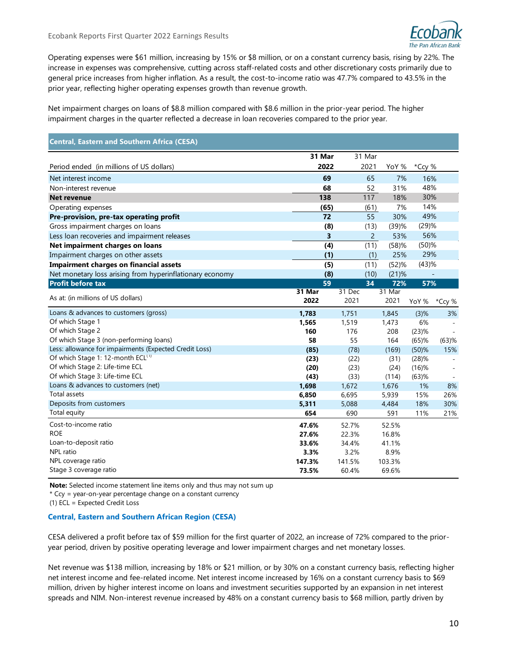

Operating expenses were \$61 million, increasing by 15% or \$8 million, or on a constant currency basis, rising by 22%. The increase in expenses was comprehensive, cutting across staff-related costs and other discretionary costs primarily due to general price increases from higher inflation. As a result, the cost-to-income ratio was 47.7% compared to 43.5% in the prior year, reflecting higher operating expenses growth than revenue growth.

Net impairment charges on loans of \$8.8 million compared with \$8.6 million in the prior-year period. The higher impairment charges in the quarter reflected a decrease in loan recoveries compared to the prior year.

| <b>Central, Eastern and Southern Africa (CESA)</b>       |                |                |                |                |            |            |
|----------------------------------------------------------|----------------|----------------|----------------|----------------|------------|------------|
|                                                          | 31 Mar         |                | 31 Mar         |                |            |            |
| Period ended (in millions of US dollars)                 | 2022           |                | 2021           | YoY %          | *Ccy %     |            |
| Net interest income                                      | 69             |                | 65             | 7%             | 16%        |            |
| Non-interest revenue                                     | 68             |                | 52             | 31%            | 48%        |            |
| <b>Net revenue</b>                                       | 138            |                | 117            | 18%            | 30%        |            |
| Operating expenses                                       | (65)           |                | (61)           | 7%             | 14%        |            |
| Pre-provision, pre-tax operating profit                  | 72             |                | 55             | 30%            | 49%        |            |
| Gross impairment charges on loans                        | (8)            |                | (13)           | (39)%          | (29)%      |            |
| Less loan recoveries and impairment releases             | 3              |                | $\overline{c}$ | 53%            | 56%        |            |
| Net impairment charges on loans                          | (4)            |                | (11)           | (58)%          | $(50)$ %   |            |
| Impairment charges on other assets                       | (1)            |                | (1)            | 25%            | 29%        |            |
| <b>Impairment charges on financial assets</b>            | (5)            |                | (11)           | (52)%          | (43)%      |            |
| Net monetary loss arising from hyperinflationary economy | (8)            |                | (10)           | (21)%          |            |            |
| <b>Profit before tax</b>                                 | 59             |                | 34             | 72%            | 57%        |            |
| As at: (in millions of US dollars)                       | 31 Mar<br>2022 | 31 Dec<br>2021 |                | 31 Mar<br>2021 | YoY %      | *Ccy %     |
| Loans & advances to customers (gross)                    | 1,783          | 1,751          |                | 1,845          | $(3)$ %    | 3%         |
| Of which Stage 1                                         | 1,565          | 1,519          |                | 1,473          | 6%         |            |
| Of which Stage 2                                         | 160            | 176            |                | 208            | (23)%      |            |
| Of which Stage 3 (non-performing loans)                  | 58             | 55             |                | 164            | $(65)$ %   | $(63)$ %   |
| Less: allowance for impairments (Expected Credit Loss)   | (85)           | (78)           |                | (169)          | $(50)$ %   | 15%        |
| Of which Stage 1: 12-month ECL <sup>(1)</sup>            | (23)           | (22)           |                | (31)           | (28)%      |            |
| Of which Stage 2: Life-time ECL                          | (20)           | (23)           |                | (24)           | $(16)$ %   |            |
| Of which Stage 3: Life-time ECL                          | (43)           | (33)           |                | (114)          | $(63)$ %   |            |
| Loans & advances to customers (net)                      | 1,698          | 1,672          |                | 1,676          | 1%         | 8%         |
| Total assets<br>Deposits from customers                  | 6,850          | 6,695          |                | 5,939          | 15%        | 26%        |
| Total equity                                             | 5,311<br>654   | 5,088<br>690   |                | 4,484<br>591   | 18%<br>11% | 30%<br>21% |
|                                                          |                |                |                |                |            |            |
| Cost-to-income ratio                                     | 47.6%          | 52.7%          |                | 52.5%          |            |            |
| <b>ROE</b>                                               | 27.6%          | 22.3%          |                | 16.8%          |            |            |
| Loan-to-deposit ratio                                    | 33.6%          | 34.4%          |                | 41.1%          |            |            |
| <b>NPL</b> ratio                                         | 3.3%           | 3.2%           |                | 8.9%           |            |            |
| NPL coverage ratio                                       | 147.3%         | 141.5%         |                | 103.3%         |            |            |
| Stage 3 coverage ratio                                   | 73.5%          | 60.4%          |                | 69.6%          |            |            |

**Note:** Selected income statement line items only and thus may not sum up

\* Ccy = year-on-year percentage change on a constant currency

(1) ECL = Expected Credit Loss

### **Central, Eastern and Southern African Region (CESA)**

CESA delivered a profit before tax of \$59 million for the first quarter of 2022, an increase of 72% compared to the prioryear period, driven by positive operating leverage and lower impairment charges and net monetary losses.

Net revenue was \$138 million, increasing by 18% or \$21 million, or by 30% on a constant currency basis, reflecting higher net interest income and fee-related income. Net interest income increased by 16% on a constant currency basis to \$69 million, driven by higher interest income on loans and investment securities supported by an expansion in net interest spreads and NIM. Non-interest revenue increased by 48% on a constant currency basis to \$68 million, partly driven by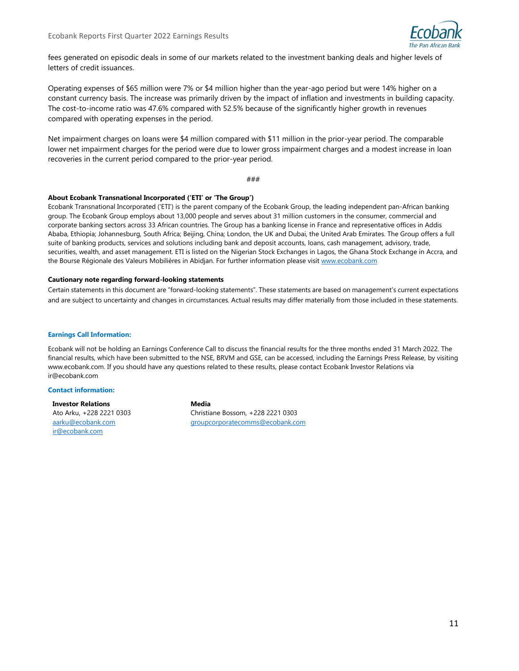

fees generated on episodic deals in some of our markets related to the investment banking deals and higher levels of letters of credit issuances.

Operating expenses of \$65 million were 7% or \$4 million higher than the year-ago period but were 14% higher on a constant currency basis. The increase was primarily driven by the impact of inflation and investments in building capacity. The cost-to-income ratio was 47.6% compared with 52.5% because of the significantly higher growth in revenues compared with operating expenses in the period.

Net impairment charges on loans were \$4 million compared with \$11 million in the prior-year period. The comparable lower net impairment charges for the period were due to lower gross impairment charges and a modest increase in loan recoveries in the current period compared to the prior-year period.

###

#### **About Ecobank Transnational Incorporated ('ETI' or 'The Group')**

Ecobank Transnational Incorporated ('ETI') is the parent company of the Ecobank Group, the leading independent pan-African banking group. The Ecobank Group employs about 13,000 people and serves about 31 million customers in the consumer, commercial and corporate banking sectors across 33 African countries. The Group has a banking license in France and representative offices in Addis Ababa, Ethiopia; Johannesburg, South Africa; Beijing, China; London, the UK and Dubai, the United Arab Emirates. The Group offers a full suite of banking products, services and solutions including bank and deposit accounts, loans, cash management, advisory, trade, securities, wealth, and asset management. ETI is listed on the Nigerian Stock Exchanges in Lagos, the Ghana Stock Exchange in Accra, and the Bourse Régionale des Valeurs Mobilières in Abidjan. For further information please visit [www.ecobank.com](http://www.ecobank.com/)

#### **Cautionary note regarding forward-looking statements**

Certain statements in this document are "forward-looking statements". These statements are based on management's current expectations and are subject to uncertainty and changes in circumstances. Actual results may differ materially from those included in these statements.

#### **Earnings Call Information:**

Ecobank will not be holding an Earnings Conference Call to discuss the financial results for the three months ended 31 March 2022. The financial results, which have been submitted to the NSE, BRVM and GSE, can be accessed, including the Earnings Press Release, by visiting www.ecobank.com. If you should have any questions related to these results, please contact Ecobank Investor Relations via ir@ecobank.com

#### **Contact information:**

**Investor Relations** Ato Arku, +228 2221 0303 [aarku@ecobank.com](mailto:aarku@ecobank.com) [ir@ecobank.com](mailto:ir@ecobank.com)

**Media** Christiane Bossom, +228 2221 0303 [groupcorporatecomms@ecobank.com](mailto:groupcorporatecomms@ecobank.com)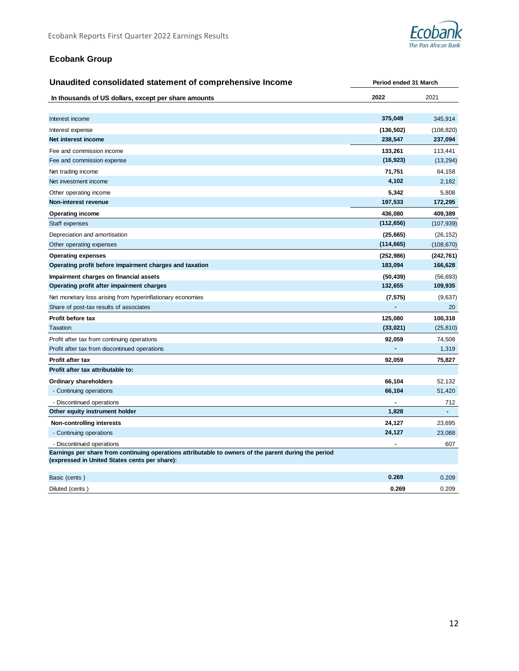

# **Ecobank Group**

| Unaudited consolidated statement of comprehensive Income                                                                                              | Period ended 31 March |            |  |
|-------------------------------------------------------------------------------------------------------------------------------------------------------|-----------------------|------------|--|
| In thousands of US dollars, except per share amounts                                                                                                  | 2022                  | 2021       |  |
|                                                                                                                                                       |                       |            |  |
| Interest income                                                                                                                                       | 375,049               | 345,914    |  |
| Interest expense                                                                                                                                      | (136, 502)            | (108, 820) |  |
| Net interest income                                                                                                                                   | 238,547               | 237,094    |  |
| Fee and commission income                                                                                                                             | 133,261               | 113,441    |  |
| Fee and commission expense                                                                                                                            | (16, 923)             | (13, 294)  |  |
| Net trading income                                                                                                                                    | 71,751                | 64,158     |  |
| Net investment income                                                                                                                                 | 4,102                 | 2,182      |  |
| Other operating income                                                                                                                                | 5,342                 | 5,808      |  |
| Non-interest revenue                                                                                                                                  | 197,533               | 172,295    |  |
| <b>Operating income</b>                                                                                                                               | 436,080               | 409,389    |  |
| Staff expenses                                                                                                                                        | (112, 656)            | (107, 939) |  |
| Depreciation and amortisation                                                                                                                         | (25, 665)             | (26, 152)  |  |
| Other operating expenses                                                                                                                              | (114, 665)            | (108, 670) |  |
| <b>Operating expenses</b>                                                                                                                             | (252, 986)            | (242, 761) |  |
| Operating profit before impairment charges and taxation                                                                                               | 183,094               | 166,628    |  |
| Impairment charges on financial assets                                                                                                                | (50, 439)             | (56, 693)  |  |
| Operating profit after impairment charges                                                                                                             | 132,655               | 109,935    |  |
| Net monetary loss arising from hyperinflationary economies                                                                                            | (7, 575)              | (9,637)    |  |
| Share of post-tax results of associates                                                                                                               |                       | 20         |  |
| Profit before tax                                                                                                                                     | 125,080               | 100,318    |  |
| Taxation                                                                                                                                              | (33, 021)             | (25, 810)  |  |
| Profit after tax from continuing operations                                                                                                           | 92,059                | 74,508     |  |
| Profit after tax from discontinued operations                                                                                                         |                       | 1,319      |  |
| <b>Profit after tax</b>                                                                                                                               | 92,059                | 75,827     |  |
| Profit after tax attributable to:                                                                                                                     |                       |            |  |
| <b>Ordinary shareholders</b>                                                                                                                          | 66,104                | 52,132     |  |
| - Continuing operations                                                                                                                               | 66,104                | 51,420     |  |
| - Discontinued operations                                                                                                                             |                       | 712        |  |
| Other equity instrument holder                                                                                                                        | 1,828                 |            |  |
| <b>Non-controlling interests</b>                                                                                                                      | 24,127                | 23,695     |  |
| - Continuing operations                                                                                                                               | 24,127                | 23,088     |  |
| - Discontinued operations                                                                                                                             |                       | 607        |  |
| Earnings per share from continuing operations attributable to owners of the parent during the period<br>(expressed in United States cents per share): |                       |            |  |
| Basic (cents)                                                                                                                                         | 0.269                 | 0.209      |  |
| Diluted (cents)                                                                                                                                       | 0.269                 | 0.209      |  |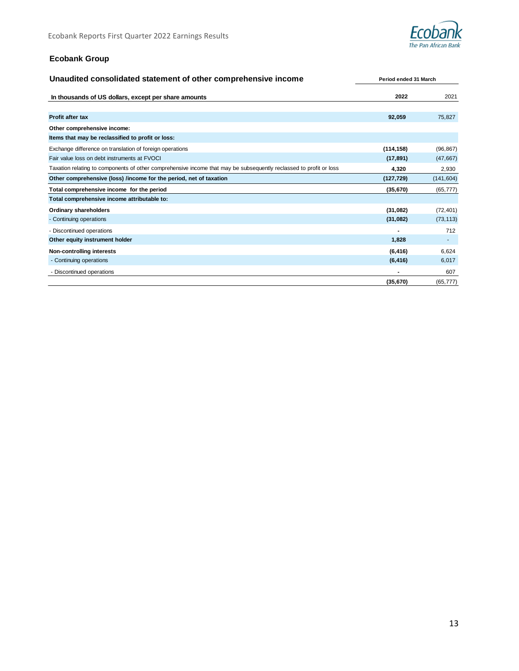

# **Ecobank Group**

| Unaudited consolidated statement of other comprehensive income                                                     | Period ended 31 March |            |  |
|--------------------------------------------------------------------------------------------------------------------|-----------------------|------------|--|
| In thousands of US dollars, except per share amounts                                                               | 2022                  | 2021       |  |
|                                                                                                                    |                       |            |  |
| <b>Profit after tax</b>                                                                                            | 92,059                | 75,827     |  |
| Other comprehensive income:                                                                                        |                       |            |  |
| Items that may be reclassified to profit or loss:                                                                  |                       |            |  |
| Exchange difference on translation of foreign operations                                                           | (114, 158)            | (96, 867)  |  |
| Fair value loss on debt instruments at FVOCI                                                                       | (17, 891)             | (47, 667)  |  |
| Taxation relating to components of other comprehensive income that may be subsequently reclassed to profit or loss | 4,320                 | 2,930      |  |
| Other comprehensive (loss) /income for the period, net of taxation                                                 | (127, 729)            | (141, 604) |  |
| Total comprehensive income for the period                                                                          | (35, 670)             | (65, 777)  |  |
| Total comprehensive income attributable to:                                                                        |                       |            |  |
| <b>Ordinary shareholders</b>                                                                                       | (31,082)              | (72, 401)  |  |
| - Continuing operations                                                                                            | (31,082)              | (73, 113)  |  |
| - Discontinued operations                                                                                          |                       | 712        |  |
| Other equity instrument holder                                                                                     | 1,828                 | ٠          |  |
| Non-controlling interests                                                                                          | (6, 416)              | 6,624      |  |
| - Continuing operations                                                                                            | (6, 416)              | 6,017      |  |
| - Discontinued operations                                                                                          |                       | 607        |  |
|                                                                                                                    | (35, 670)             | (65, 777)  |  |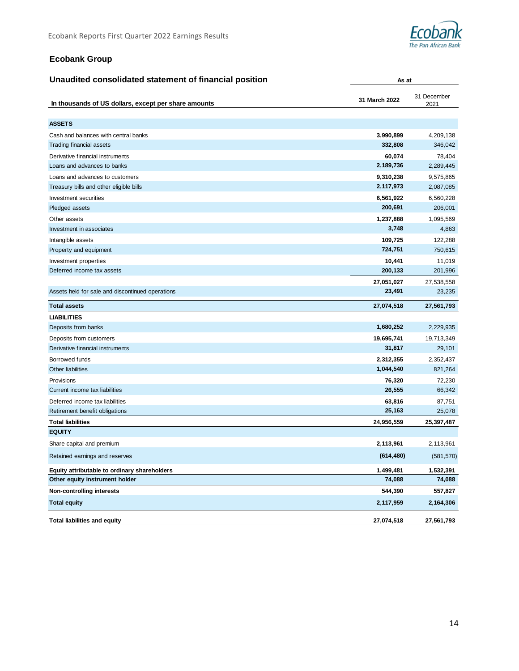

**As at**

# **Ecobank Group**

| Unaudited consolidated statement of financial position |
|--------------------------------------------------------|
|--------------------------------------------------------|

| In thousands of US dollars, except per share amounts | 31 December<br>31 March 2022 |            |
|------------------------------------------------------|------------------------------|------------|
|                                                      |                              | 2021       |
| <b>ASSETS</b>                                        |                              |            |
| Cash and balances with central banks                 | 3,990,899                    | 4,209,138  |
| <b>Trading financial assets</b>                      | 332,808                      | 346,042    |
| Derivative financial instruments                     | 60,074                       | 78,404     |
| Loans and advances to banks                          | 2,189,736                    | 2,289,445  |
| Loans and advances to customers                      | 9,310,238                    | 9,575,865  |
| Treasury bills and other eligible bills              | 2,117,973                    | 2,087,085  |
| Investment securities                                | 6,561,922                    | 6,560,228  |
| Pledged assets                                       | 200,691                      | 206,001    |
| Other assets                                         | 1,237,888                    | 1,095,569  |
| Investment in associates                             | 3,748                        | 4,863      |
| Intangible assets                                    | 109,725                      | 122,288    |
| Property and equipment                               | 724,751                      | 750,615    |
| Investment properties                                | 10,441                       | 11,019     |
| Deferred income tax assets                           | 200,133                      | 201,996    |
|                                                      | 27,051,027                   | 27,538,558 |
| Assets held for sale and discontinued operations     | 23,491                       | 23,235     |
| <b>Total assets</b>                                  | 27,074,518                   | 27,561,793 |
| <b>LIABILITIES</b>                                   |                              |            |
| Deposits from banks                                  | 1,680,252                    | 2,229,935  |
| Deposits from customers                              | 19,695,741                   | 19,713,349 |
| Derivative financial instruments                     | 31,817                       | 29,101     |
| Borrowed funds                                       | 2,312,355                    | 2,352,437  |
| Other liabilities                                    | 1,044,540                    | 821,264    |
| Provisions                                           | 76,320                       | 72,230     |
| Current income tax liabilities                       | 26,555                       | 66,342     |
| Deferred income tax liabilities                      | 63,816                       | 87,751     |
| Retirement benefit obligations                       | 25,163                       | 25,078     |
| <b>Total liabilities</b>                             | 24,956,559                   | 25,397,487 |
| <b>EQUITY</b>                                        |                              |            |
| Share capital and premium                            | 2,113,961                    | 2,113,961  |
| Retained earnings and reserves                       | (614, 480)                   | (581, 570) |
| Equity attributable to ordinary shareholders         | 1,499,481                    | 1,532,391  |
| Other equity instrument holder                       | 74,088                       | 74,088     |
| <b>Non-controlling interests</b>                     | 544,390                      | 557,827    |
| <b>Total equity</b>                                  | 2,117,959                    | 2,164,306  |
| <b>Total liabilities and equity</b>                  | 27,074,518                   | 27,561,793 |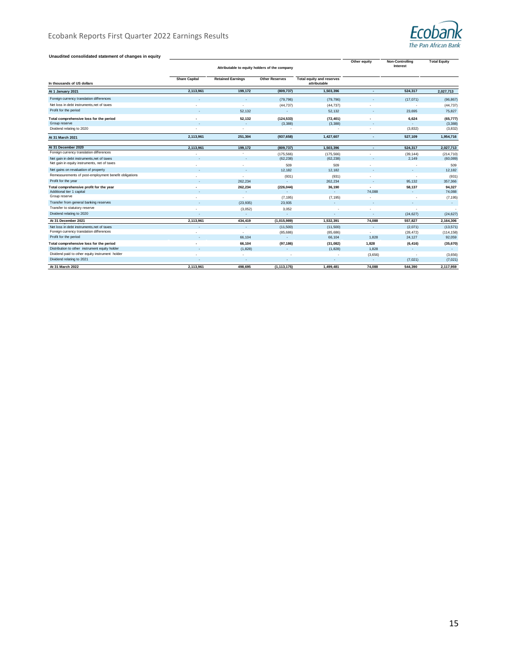

#### **Unaudited consolidated statement of changes in equity**

| Unaudried consondated statement or changes in equity  | Attributable to equity holders of the company |                          |                         |                                           | Other equity | <b>Non-Controlling</b><br>Interest                   | <b>Total Equity</b>    |
|-------------------------------------------------------|-----------------------------------------------|--------------------------|-------------------------|-------------------------------------------|--------------|------------------------------------------------------|------------------------|
| In thousands of US dollars                            | <b>Share Capital</b>                          | <b>Retained Earnings</b> | <b>Other Reserves</b>   | Total equity and reserves<br>attributable |              |                                                      |                        |
| At 1 January 2021                                     | 2,113,961                                     | 199,172                  | (809, 737)              | 1,503,396                                 | ÷            | 524,317                                              | 2,027,713              |
| Foreign currency translation differences              |                                               |                          | (79, 796)               | (79, 796)                                 | ٠            | (17,071)                                             | (96, 867)              |
| Net loss in debt instruments, net of taxes            |                                               |                          | (44, 737)               | (44, 737)                                 |              | ٠                                                    | (44, 737)              |
| Profit for the period                                 | $\overline{\phantom{a}}$                      | 52.132                   | ×.                      | 52.132                                    | ٠            | 23.695                                               | 75,827                 |
| Total comprehensive loss for the period               | $\overline{\phantom{a}}$                      | 52.132                   | (124, 533)              | (72, 401)                                 | ٠            | 6,624                                                | (65, 777)              |
| Group reserve                                         |                                               | ٠                        | (3,388)                 | (3, 388)                                  | ٠            |                                                      | (3,388)                |
| Dividend relating to 2020                             | $\sim$                                        | ×.                       | ٠                       | $\sim$                                    | ٠            | (3,832)                                              | (3, 832)               |
| At 31 March 2021                                      | 2,113,961                                     | 251,304                  | (937, 658)              | 1,427,607                                 | ٠            | 527,109                                              | 1,954,716              |
| At 31 December 2020                                   |                                               |                          |                         |                                           |              |                                                      |                        |
| Foreign currency translation differences              | 2,113,961                                     | 199,172                  | (809, 737)              | 1,503,396                                 | ٠            | 524,317                                              | 2,027,713              |
| Net gain in debt instruments, net of taxes            |                                               | ٠                        | (175, 566)<br>(62, 238) | (175, 566)<br>(62, 238)                   | ٠<br>٠       | (39, 144)<br>2,149                                   | (214, 710)<br>(60,089) |
| Net gain in equity instruments, net of taxes          |                                               |                          |                         |                                           |              |                                                      |                        |
| Net gains on revaluation of property                  |                                               |                          | 509<br>12,182           | 509<br>12.182                             | ٠<br>٠       | $\overline{\phantom{a}}$<br>$\overline{\phantom{a}}$ | 509<br>12,182          |
| Remeasurements of post-employment benefit obligations |                                               |                          |                         |                                           |              |                                                      |                        |
| Profit for the year                                   |                                               | 262.234                  | (931)                   | (931)<br>262.234                          | ٠            | 95.132                                               | (931)<br>357,366       |
| Total comprehensive profit for the year               |                                               | 262,234                  | (226, 044)              | 36,190                                    | ٠            | 58,137                                               | 94,327                 |
| Additional tier 1 capital                             |                                               |                          |                         |                                           | 74.088       |                                                      | 74,088                 |
| Group reserve                                         |                                               | ×.                       | (7, 195)                | (7, 195)                                  | ٠            | ٠                                                    | (7, 195)               |
| Transfer from general banking reserves                |                                               | (23, 935)                | 23.935                  | $\overline{\phantom{a}}$                  | ٠            |                                                      | $\sim$                 |
| Transfer to statutory reserve                         | ٠                                             | (3,052)                  | 3,052                   |                                           | ٠            | $\overline{\phantom{a}}$                             |                        |
| Dividend relating to 2020                             | ٠                                             | $\overline{\phantom{a}}$ | ٠                       | ٠                                         | ٠            | (24, 627)                                            | (24, 627)              |
| At 31 December 2021                                   | 2,113,961                                     | 434,419                  | (1,015,989)             | 1,532,391                                 | 74,088       | 557,827                                              | 2,164,306              |
| Net loss in debt instruments, net of taxes            |                                               | $\sim$                   | (11,500)                | (11,500)                                  | ×,           | (2,071)                                              | (13, 571)              |
| Foreign currency translation differences              |                                               | ×.                       | (85,686)                | (85, 686)                                 | ٠            | (28, 472)                                            | (114, 158)             |
| Profit for the period                                 | $\sim$                                        | 66,104                   | $\sim$                  | 66,104                                    | 1,828        | 24,127                                               | 92,059                 |
| Total comprehensive loss for the period               |                                               | 66,104                   | (97, 186)               | (31, 082)                                 | 1,828        | (6, 416)                                             | (35, 670)              |
| Distribution to other instrument equity holder        |                                               | (1,828)                  | ×                       | (1,828)                                   | 1,828        | $\overline{\phantom{a}}$                             | $\sim$                 |
| Dividend paid to other equity instrument holder       | ٠                                             | ×.                       |                         |                                           | (3,656)      | $\overline{\phantom{a}}$                             | (3,656)                |
| Dividend relating to 2021                             | $\overline{\phantom{a}}$                      | $\sim$                   | ٠                       | ٠                                         | ٠            | (7,021)                                              | (7,021)                |
| At 31 March 2022                                      | 2,113,961                                     | 498.695                  | (1, 113, 175)           | 1.499.481                                 | 74.088       | 544,390                                              | 2.117.959              |